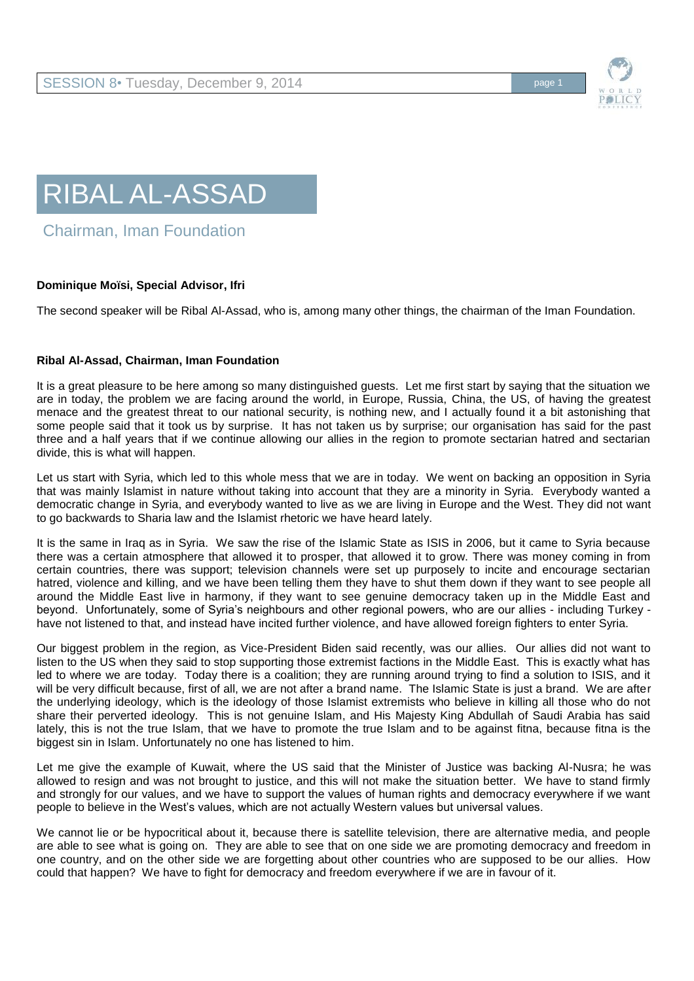



Chairman, Iman Foundation

## **Dominique Moïsi, Special Advisor, Ifri**

The second speaker will be Ribal Al-Assad, who is, among many other things, the chairman of the Iman Foundation.

## **Ribal Al-Assad, Chairman, Iman Foundation**

It is a great pleasure to be here among so many distinguished guests. Let me first start by saying that the situation we are in today, the problem we are facing around the world, in Europe, Russia, China, the US, of having the greatest menace and the greatest threat to our national security, is nothing new, and I actually found it a bit astonishing that some people said that it took us by surprise. It has not taken us by surprise; our organisation has said for the past three and a half years that if we continue allowing our allies in the region to promote sectarian hatred and sectarian divide, this is what will happen.

Let us start with Syria, which led to this whole mess that we are in today. We went on backing an opposition in Syria that was mainly Islamist in nature without taking into account that they are a minority in Syria. Everybody wanted a democratic change in Syria, and everybody wanted to live as we are living in Europe and the West. They did not want to go backwards to Sharia law and the Islamist rhetoric we have heard lately.

It is the same in Iraq as in Syria. We saw the rise of the Islamic State as ISIS in 2006, but it came to Syria because there was a certain atmosphere that allowed it to prosper, that allowed it to grow. There was money coming in from certain countries, there was support; television channels were set up purposely to incite and encourage sectarian hatred, violence and killing, and we have been telling them they have to shut them down if they want to see people all around the Middle East live in harmony, if they want to see genuine democracy taken up in the Middle East and beyond. Unfortunately, some of Syria's neighbours and other regional powers, who are our allies - including Turkey have not listened to that, and instead have incited further violence, and have allowed foreign fighters to enter Syria.

Our biggest problem in the region, as Vice-President Biden said recently, was our allies. Our allies did not want to listen to the US when they said to stop supporting those extremist factions in the Middle East. This is exactly what has led to where we are today. Today there is a coalition; they are running around trying to find a solution to ISIS, and it will be very difficult because, first of all, we are not after a brand name. The Islamic State is just a brand. We are after the underlying ideology, which is the ideology of those Islamist extremists who believe in killing all those who do not share their perverted ideology. This is not genuine Islam, and His Majesty King Abdullah of Saudi Arabia has said lately, this is not the true Islam, that we have to promote the true Islam and to be against fitna, because fitna is the biggest sin in Islam. Unfortunately no one has listened to him.

Let me give the example of Kuwait, where the US said that the Minister of Justice was backing Al-Nusra; he was allowed to resign and was not brought to justice, and this will not make the situation better. We have to stand firmly and strongly for our values, and we have to support the values of human rights and democracy everywhere if we want people to believe in the West's values, which are not actually Western values but universal values.

We cannot lie or be hypocritical about it, because there is satellite television, there are alternative media, and people are able to see what is going on. They are able to see that on one side we are promoting democracy and freedom in one country, and on the other side we are forgetting about other countries who are supposed to be our allies. How could that happen? We have to fight for democracy and freedom everywhere if we are in favour of it.